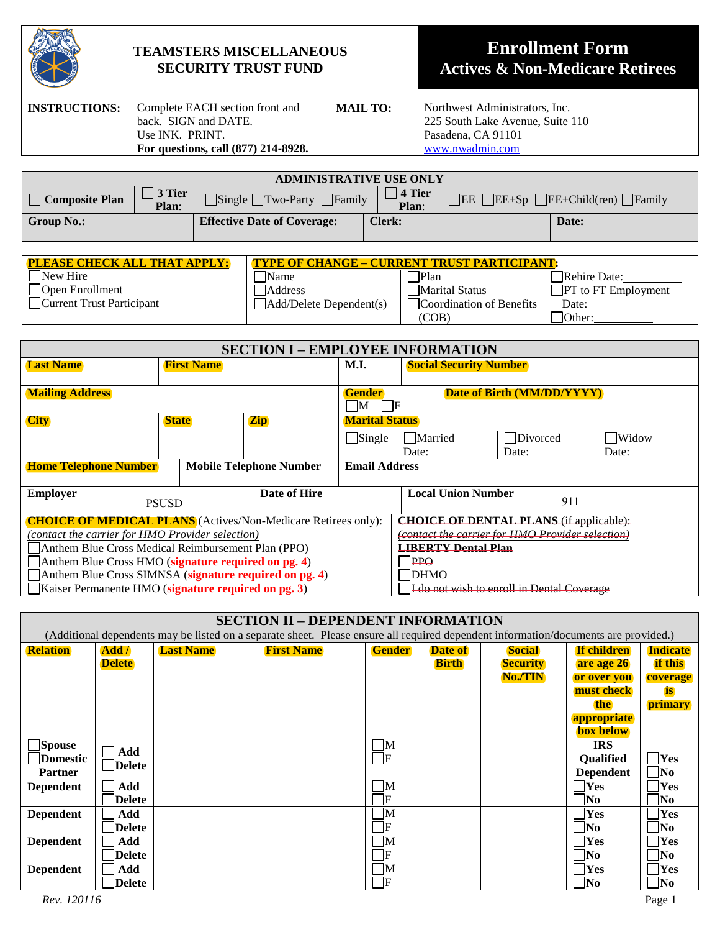

# **TEAMSTERS MISCELLANEOUS SECURITY TRUST FUND**

# **Enrollment Form Actives & Non-Medicare Retirees**

**INSTRUCTIONS:** Complete EACH section front and back. SIGN and DATE. Use INK. PRINT. **For questions, call (877) 214-8928.**

**MAIL TO:** Northwest Administrators, Inc. 225 South Lake Avenue, Suite 110 Pasadena, CA 91101 [www.nwadmin.com](http://www.nwadmin.com/)

| <b>ADMINISTRATIVE USE ONLY</b> |                         |                                              |                          |                                                                                |       |  |
|--------------------------------|-------------------------|----------------------------------------------|--------------------------|--------------------------------------------------------------------------------|-------|--|
| $\Box$ Composite Plan          | $\vert$ 3 Tier<br>Plan: | $\Box$ Single $\Box$ Two-Party $\Box$ Family | $\sqrt{4}$ Tier<br>Plan: | $\Box$ EE+Sp $\Box$ EE+Child(ren) $\Box$ Family<br>$\overline{\phantom{a}}$ EE |       |  |
| Group No.:                     |                         | <b>Effective Date of Coverage:</b>           | Clerk:                   |                                                                                | Date: |  |

| <b>PLEASE CHECK ALL THAT APPLY:</b> | <b>TYPE OF CHANGE – CURRENT TRUST PARTICIPANT:</b> |                          |                                    |  |  |
|-------------------------------------|----------------------------------------------------|--------------------------|------------------------------------|--|--|
| $\Box$ New Hire                     | Name                                               | <b>Plan</b>              | Rehire Date:                       |  |  |
| $\Box$ Open Enrollment              | Address                                            | Marital Status           | $\blacksquare$ PT to FT Employment |  |  |
| Current Trust Participant           | $\Box$ Add/Delete Dependent(s)                     | Coordination of Benefits | Date:                              |  |  |
|                                     |                                                    | (COB)                    | <b>Other:</b>                      |  |  |

| <b>SECTION I - EMPLOYEE INFORMATION</b>                              |                            |  |                      |                                            |                                                  |                            |          |       |
|----------------------------------------------------------------------|----------------------------|--|----------------------|--------------------------------------------|--------------------------------------------------|----------------------------|----------|-------|
| <b>Last Name</b>                                                     | <b>First Name</b>          |  | <b>M.I.</b>          |                                            | <b>Social Security Number</b>                    |                            |          |       |
|                                                                      |                            |  |                      |                                            |                                                  |                            |          |       |
| <b>Mailing Address</b>                                               |                            |  |                      | <b>Gender</b>                              |                                                  | Date of Birth (MM/DD/YYYY) |          |       |
|                                                                      |                            |  |                      | IF<br>M                                    |                                                  |                            |          |       |
| <b>City</b>                                                          | <b>State</b><br><b>Zip</b> |  |                      | <b>Marital Status</b>                      |                                                  |                            |          |       |
|                                                                      |                            |  |                      | $\Box$ Single                              | <b>Married</b>                                   |                            | Divorced | Widow |
|                                                                      |                            |  |                      |                                            | Date:                                            |                            | Date:    | Date: |
| <b>Home Telephone Number</b><br><b>Mobile Telephone Number</b>       |                            |  | <b>Email Address</b> |                                            |                                                  |                            |          |       |
|                                                                      |                            |  |                      |                                            |                                                  |                            |          |       |
| Date of Hire<br><b>Employer</b>                                      |                            |  |                      |                                            | <b>Local Union Number</b>                        | 911                        |          |       |
| <b>PSUSD</b>                                                         |                            |  |                      |                                            |                                                  |                            |          |       |
| <b>CHOICE OF MEDICAL PLANS</b> (Actives/Non-Medicare Retirees only): |                            |  |                      |                                            | <b>CHOICE OF DENTAL PLANS (if applicable):</b>   |                            |          |       |
| (contact the carrier for HMO Provider selection)                     |                            |  |                      |                                            | (contact the carrier for HMO Provider selection) |                            |          |       |
| Anthem Blue Cross Medical Reimbursement Plan (PPO)                   |                            |  |                      |                                            | <b>LIBERTY Dental Plan</b>                       |                            |          |       |
| Anthem Blue Cross HMO (signature required on pg. 4)                  |                            |  |                      |                                            | PPQ                                              |                            |          |       |
| Anthem Blue Cross SIMNSA (signature required on pg. 4)               |                            |  |                      |                                            | <b>DHMO</b>                                      |                            |          |       |
| Kaiser Permanente HMO (signature required on pg. 3)                  |                            |  |                      | I do not wish to enroll in Dental Coverage |                                                  |                            |          |       |

| <b>SECTION II - DEPENDENT INFORMATION</b>                                                                                           |               |                  |                   |                                                   |                |                 |                           |                         |
|-------------------------------------------------------------------------------------------------------------------------------------|---------------|------------------|-------------------|---------------------------------------------------|----------------|-----------------|---------------------------|-------------------------|
| (Additional dependents may be listed on a separate sheet. Please ensure all required dependent information/documents are provided.) |               |                  |                   |                                                   |                |                 |                           |                         |
| <b>Relation</b>                                                                                                                     | Add /         | <b>Last Name</b> | <b>First Name</b> | <b>Gender</b>                                     | <b>Date of</b> | <b>Social</b>   | <b>If children</b>        | <b>Indicate</b>         |
|                                                                                                                                     | <b>Delete</b> |                  |                   |                                                   | <b>Birth</b>   | <b>Security</b> | are age 26                | <b>if this</b>          |
|                                                                                                                                     |               |                  |                   |                                                   |                | No./TIN         | or over you               | coverage                |
|                                                                                                                                     |               |                  |                   |                                                   |                |                 | must check                | <b>is</b>               |
|                                                                                                                                     |               |                  |                   |                                                   |                |                 | the                       | primary                 |
|                                                                                                                                     |               |                  |                   |                                                   |                |                 | appropriate               |                         |
|                                                                                                                                     |               |                  |                   |                                                   |                |                 | <b>box below</b>          |                         |
| <b>Spouse</b>                                                                                                                       | Add           |                  |                   | $\Box M$                                          |                |                 | <b>IRS</b>                |                         |
| Domestic                                                                                                                            | <b>Delete</b> |                  |                   | $\Box$ F                                          |                |                 | <b>Oualified</b>          | Yes                     |
| <b>Partner</b>                                                                                                                      |               |                  |                   |                                                   |                |                 | <b>Dependent</b>          | No                      |
| <b>Dependent</b>                                                                                                                    | Add           |                  |                   | $\Box$ M                                          |                |                 | $7$ Yes                   | Yes                     |
|                                                                                                                                     | <b>Delete</b> |                  |                   | $\overline{\phantom{a}}$ $\overline{\phantom{a}}$ |                |                 | $\overline{\mathbf{N}}$   | $\overline{\text{No}}$  |
| <b>Dependent</b>                                                                                                                    | Add           |                  |                   | $\blacksquare$                                    |                |                 | <b>Yes</b>                | Yes                     |
|                                                                                                                                     | <b>Delete</b> |                  |                   | $\Box$ F                                          |                |                 | $\blacksquare$ No         | $\mathbf{N}\mathbf{0}$  |
| <b>Dependent</b>                                                                                                                    | Add           |                  |                   | $\mathbf{M}$                                      |                |                 | Yes                       | Yes                     |
|                                                                                                                                     | <b>Delete</b> |                  |                   | $\Box$ F                                          |                |                 | $\overline{\mathbf{N}}$ o | $\overline{\mathbf{N}}$ |
| <b>Dependent</b>                                                                                                                    | Add           |                  |                   | $\Box$ M                                          |                |                 | Yes                       | Yes                     |
|                                                                                                                                     | <b>Delete</b> |                  |                   | $\Box$ F                                          |                |                 | $\blacksquare$ No         | N0                      |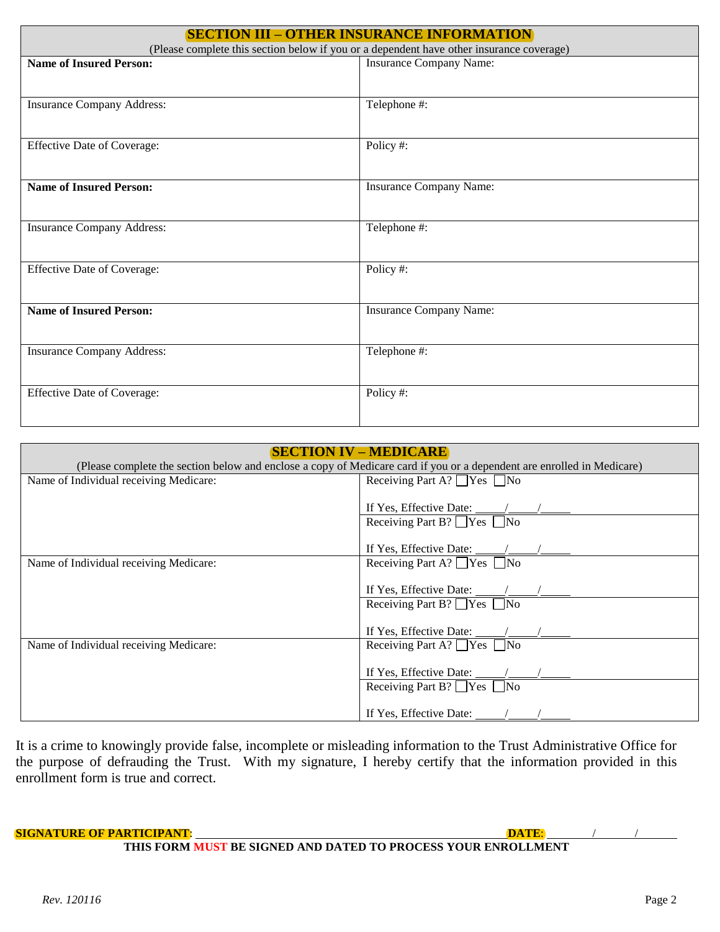| <b>SECTION III - OTHER INSURANCE INFORMATION</b>                                         |                                |  |  |  |  |
|------------------------------------------------------------------------------------------|--------------------------------|--|--|--|--|
| (Please complete this section below if you or a dependent have other insurance coverage) |                                |  |  |  |  |
| <b>Name of Insured Person:</b>                                                           | <b>Insurance Company Name:</b> |  |  |  |  |
|                                                                                          |                                |  |  |  |  |
| <b>Insurance Company Address:</b>                                                        | Telephone #:                   |  |  |  |  |
|                                                                                          |                                |  |  |  |  |
| <b>Effective Date of Coverage:</b>                                                       | Policy #:                      |  |  |  |  |
|                                                                                          |                                |  |  |  |  |
| <b>Name of Insured Person:</b>                                                           | <b>Insurance Company Name:</b> |  |  |  |  |
|                                                                                          |                                |  |  |  |  |
| <b>Insurance Company Address:</b>                                                        | Telephone #:                   |  |  |  |  |
|                                                                                          |                                |  |  |  |  |
| <b>Effective Date of Coverage:</b>                                                       | Policy#:                       |  |  |  |  |
|                                                                                          |                                |  |  |  |  |
| <b>Name of Insured Person:</b>                                                           | Insurance Company Name:        |  |  |  |  |
|                                                                                          |                                |  |  |  |  |
| <b>Insurance Company Address:</b>                                                        | Telephone #:                   |  |  |  |  |
|                                                                                          |                                |  |  |  |  |
| <b>Effective Date of Coverage:</b>                                                       | Policy #:                      |  |  |  |  |
|                                                                                          |                                |  |  |  |  |
|                                                                                          |                                |  |  |  |  |

| <b>SECTION IV – MEDICARE</b>           |                                                                                                                        |  |  |  |  |
|----------------------------------------|------------------------------------------------------------------------------------------------------------------------|--|--|--|--|
|                                        | (Please complete the section below and enclose a copy of Medicare card if you or a dependent are enrolled in Medicare) |  |  |  |  |
| Name of Individual receiving Medicare: | Receiving Part A? $\Box$ Yes $\Box$ No                                                                                 |  |  |  |  |
|                                        |                                                                                                                        |  |  |  |  |
|                                        | If Yes, Effective Date: $\frac{\sqrt{2}}{2}$                                                                           |  |  |  |  |
|                                        | Receiving Part B? $\Box$ Yes $\Box$ No                                                                                 |  |  |  |  |
|                                        |                                                                                                                        |  |  |  |  |
|                                        |                                                                                                                        |  |  |  |  |
| Name of Individual receiving Medicare: | Receiving Part A? $\Box$ Yes $\Box$ No                                                                                 |  |  |  |  |
|                                        |                                                                                                                        |  |  |  |  |
|                                        |                                                                                                                        |  |  |  |  |
|                                        | Receiving Part B? $\Box$ Yes $\Box$ No                                                                                 |  |  |  |  |
|                                        |                                                                                                                        |  |  |  |  |
|                                        | If Yes, Effective Date: /                                                                                              |  |  |  |  |
| Name of Individual receiving Medicare: | Receiving Part A? $\Box$ Yes $\Box$ No                                                                                 |  |  |  |  |
|                                        |                                                                                                                        |  |  |  |  |
|                                        | If Yes, Effective Date: $\frac{\sqrt{2}}{2}$                                                                           |  |  |  |  |
|                                        | Receiving Part B? $\Box$ Yes $\Box$ No                                                                                 |  |  |  |  |
|                                        |                                                                                                                        |  |  |  |  |
|                                        | If Yes, Effective Date: $\angle$                                                                                       |  |  |  |  |

It is a crime to knowingly provide false, incomplete or misleading information to the Trust Administrative Office for the purpose of defrauding the Trust. With my signature, I hereby certify that the information provided in this enrollment form is true and correct.

**SIGNATURE OF PARTICIPANT**: **DATE**: / /

**THIS FORM MUST BE SIGNED AND DATED TO PROCESS YOUR ENROLLMENT**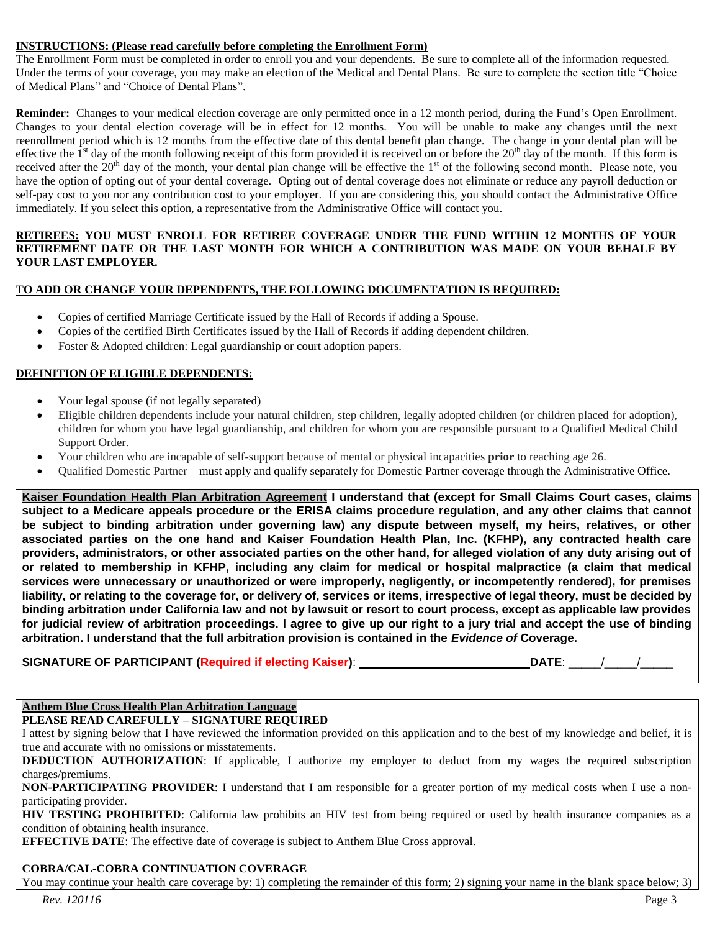#### **INSTRUCTIONS: (Please read carefully before completing the Enrollment Form)**

The Enrollment Form must be completed in order to enroll you and your dependents. Be sure to complete all of the information requested. Under the terms of your coverage, you may make an election of the Medical and Dental Plans. Be sure to complete the section title "Choice of Medical Plans" and "Choice of Dental Plans".

**Reminder:** Changes to your medical election coverage are only permitted once in a 12 month period, during the Fund's Open Enrollment. Changes to your dental election coverage will be in effect for 12 months. You will be unable to make any changes until the next reenrollment period which is 12 months from the effective date of this dental benefit plan change. The change in your dental plan will be effective the 1<sup>st</sup> day of the month following receipt of this form provided it is received on or before the 20<sup>th</sup> day of the month. If this form is received after the  $20<sup>th</sup>$  day of the month, your dental plan change will be effective the 1<sup>st</sup> of the following second month. Please note, you have the option of opting out of your dental coverage. Opting out of dental coverage does not eliminate or reduce any payroll deduction or self-pay cost to you nor any contribution cost to your employer. If you are considering this, you should contact the Administrative Office immediately. If you select this option, a representative from the Administrative Office will contact you.

#### **RETIREES: YOU MUST ENROLL FOR RETIREE COVERAGE UNDER THE FUND WITHIN 12 MONTHS OF YOUR RETIREMENT DATE OR THE LAST MONTH FOR WHICH A CONTRIBUTION WAS MADE ON YOUR BEHALF BY YOUR LAST EMPLOYER.**

#### **TO ADD OR CHANGE YOUR DEPENDENTS, THE FOLLOWING DOCUMENTATION IS REQUIRED:**

- Copies of certified Marriage Certificate issued by the Hall of Records if adding a Spouse.
- Copies of the certified Birth Certificates issued by the Hall of Records if adding dependent children.
- Foster & Adopted children: Legal guardianship or court adoption papers.

# **DEFINITION OF ELIGIBLE DEPENDENTS:**

- Your legal spouse (if not legally separated)
- Eligible children dependents include your natural children, step children, legally adopted children (or children placed for adoption), children for whom you have legal guardianship, and children for whom you are responsible pursuant to a Qualified Medical Child Support Order.
- Your children who are incapable of self-support because of mental or physical incapacities **prior** to reaching age 26.
- Qualified Domestic Partner must apply and qualify separately for Domestic Partner coverage through the Administrative Office.

**Kaiser Foundation Health Plan Arbitration Agreement I understand that (except for Small Claims Court cases, claims subject to a Medicare appeals procedure or the ERISA claims procedure regulation, and any other claims that cannot be subject to binding arbitration under governing law) any dispute between myself, my heirs, relatives, or other associated parties on the one hand and Kaiser Foundation Health Plan, Inc. (KFHP), any contracted health care providers, administrators, or other associated parties on the other hand, for alleged violation of any duty arising out of or related to membership in KFHP, including any claim for medical or hospital malpractice (a claim that medical services were unnecessary or unauthorized or were improperly, negligently, or incompetently rendered), for premises liability, or relating to the coverage for, or delivery of, services or items, irrespective of legal theory, must be decided by binding arbitration under California law and not by lawsuit or resort to court process, except as applicable law provides for judicial review of arbitration proceedings. I agree to give up our right to a jury trial and accept the use of binding arbitration. I understand that the full arbitration provision is contained in the** *Evidence of* **Coverage.**

**SIGNATURE OF PARTICIPANT (Required if electing Kaiser)**: **DATE**: \_\_\_\_\_/\_\_\_\_\_/\_\_\_\_\_

# **Anthem Blue Cross Health Plan Arbitration Language**

**PLEASE READ CAREFULLY – SIGNATURE REQUIRED**

I attest by signing below that I have reviewed the information provided on this application and to the best of my knowledge and belief, it is true and accurate with no omissions or misstatements.

**DEDUCTION AUTHORIZATION:** If applicable, I authorize my employer to deduct from my wages the required subscription charges/premiums.

**NON-PARTICIPATING PROVIDER**: I understand that I am responsible for a greater portion of my medical costs when I use a nonparticipating provider.

**HIV TESTING PROHIBITED**: California law prohibits an HIV test from being required or used by health insurance companies as a condition of obtaining health insurance.

**EFFECTIVE DATE**: The effective date of coverage is subject to Anthem Blue Cross approval.

# **COBRA/CAL-COBRA CONTINUATION COVERAGE**

You may continue your health care coverage by: 1) completing the remainder of this form; 2) signing your name in the blank space below; 3)